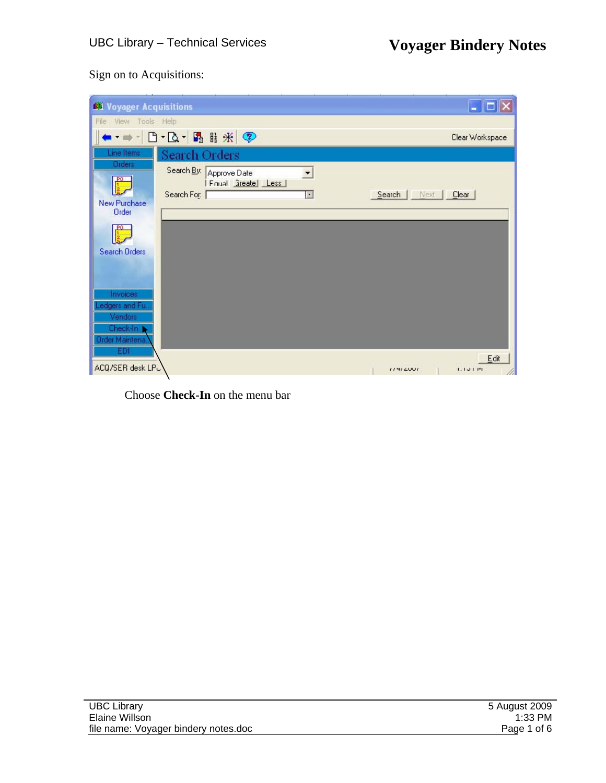### Sign on to Acquisitions:

| 61 Voyager Acquisitions                                      |                                                                                                 | $\Box$<br>н                    |
|--------------------------------------------------------------|-------------------------------------------------------------------------------------------------|--------------------------------|
| File<br>View Tools Help                                      |                                                                                                 |                                |
|                                                              | · - 日· B· 图目米 ?                                                                                 | Clear Workspace                |
| Line Items                                                   | Search Orders                                                                                   |                                |
| <b>Orders</b><br>New Purchase<br><b>Order</b>                | Search By: Approve Date<br>▼<br>Finial Steate Less<br>Search For: [<br>$\overline{\mathcal{L}}$ | Search<br>Next  <br>$C$ lear   |
|                                                              |                                                                                                 |                                |
| Search Orders<br>Invoices<br>Ledgers and Fu.<br>Vendors      |                                                                                                 |                                |
| Check-In<br><b>Order Maintena</b><br>EDI<br>ACQ/SER desk LPC |                                                                                                 | Edit<br>(141200)<br>1.1 J I W1 |

Choose **Check-In** on the menu bar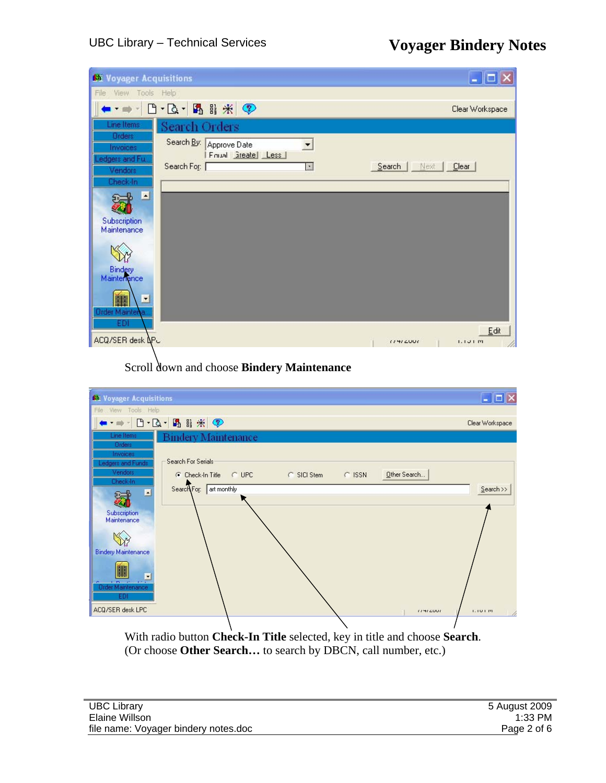| <b>64 Voyager Acquisitions</b>                                                     |                                                                                              | $\overline{\phantom{a}}$ , $\overline{\phantom{a}}$ , $\overline{\phantom{a}}$ |
|------------------------------------------------------------------------------------|----------------------------------------------------------------------------------------------|--------------------------------------------------------------------------------|
| View Tools Help<br>File                                                            |                                                                                              |                                                                                |
|                                                                                    |                                                                                              | Clear Workspace                                                                |
| Line Items<br><b>Orders</b><br>Invoices<br>Ledgers and Full<br>Vendors<br>Check-In | Search Orders<br>Search By:<br>Approve Date<br>회<br>Finual areate Less<br>Search For:  <br>⊡ | Search   Next   Clear                                                          |
| E<br>Subscription<br>Maintenance                                                   |                                                                                              |                                                                                |
| Bindery<br>Maintenance<br>⊡<br>轟<br>Order Maintena.<br>EDI                         |                                                                                              | Edit                                                                           |
| ACQ/SER desk APC                                                                   |                                                                                              | 11412001<br>1.1J1M                                                             |

Scroll down and choose **Bindery Maintenance**



(Or choose **Other Search…** to search by DBCN, call number, etc.)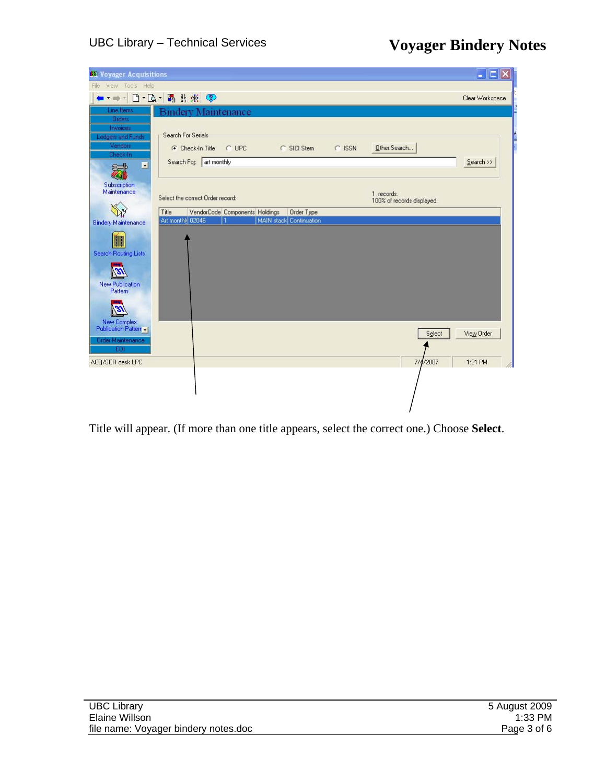| <b>Stil Voyager Acquisitions</b>                                                             |                                                                                                                     | $\Box$               |
|----------------------------------------------------------------------------------------------|---------------------------------------------------------------------------------------------------------------------|----------------------|
| View Tools Help<br>File                                                                      |                                                                                                                     |                      |
|                                                                                              | + - - B - B - B B * P                                                                                               | Clear Workspace      |
| Line Items                                                                                   | <b>Bindery Maintenance</b>                                                                                          |                      |
| <b>Orders</b><br>Invoices<br>Ledgers and Funds<br>Vendors<br>Check-In<br>ø<br>$\epsilon = 0$ | Search For Serials<br>C UPC<br>C SICI Stem<br>Other Search<br>C Check-In Title<br>C ISSN<br>Search For: art monthly | $Search$ >>          |
| Subscription<br>Maintenance                                                                  | 1 records.<br>Select the correct Order record:<br>100% of records displayed.                                        |                      |
|                                                                                              | VendorCode Components Holdings<br>Title<br>Order Type                                                               |                      |
| <b>Bindery Maintenance</b>                                                                   | Art monthly 02046<br>MAIN stack Continuation                                                                        |                      |
| ▓<br>Search Routing Lists                                                                    |                                                                                                                     |                      |
| B<br><b>New Publication</b><br>Pattern                                                       |                                                                                                                     |                      |
| 131<br>New Complex                                                                           |                                                                                                                     |                      |
| Publication Patterr -<br><b>Order Maintenance</b>                                            |                                                                                                                     | Select<br>View Order |
| EDI                                                                                          |                                                                                                                     |                      |
| ACQ/SER desk LPC                                                                             |                                                                                                                     | 7/4/2007<br>1:21 PM  |
|                                                                                              |                                                                                                                     |                      |

Title will appear. (If more than one title appears, select the correct one.) Choose **Select**.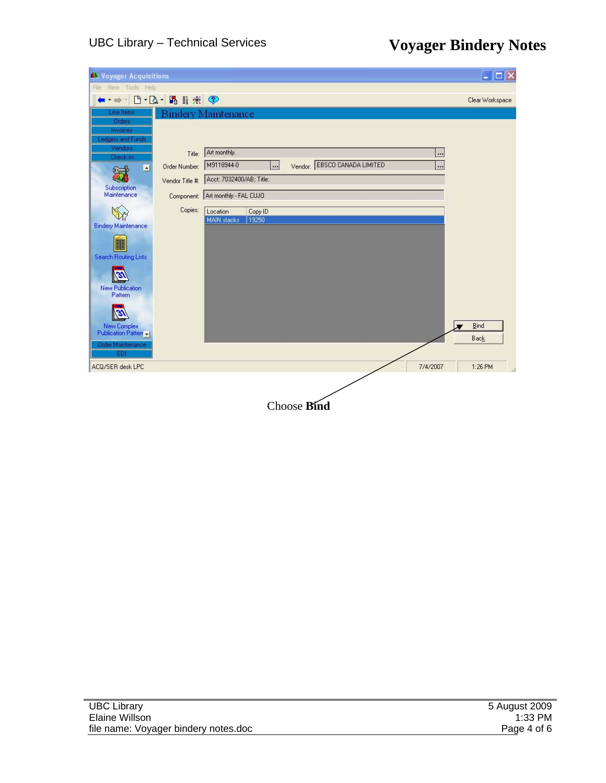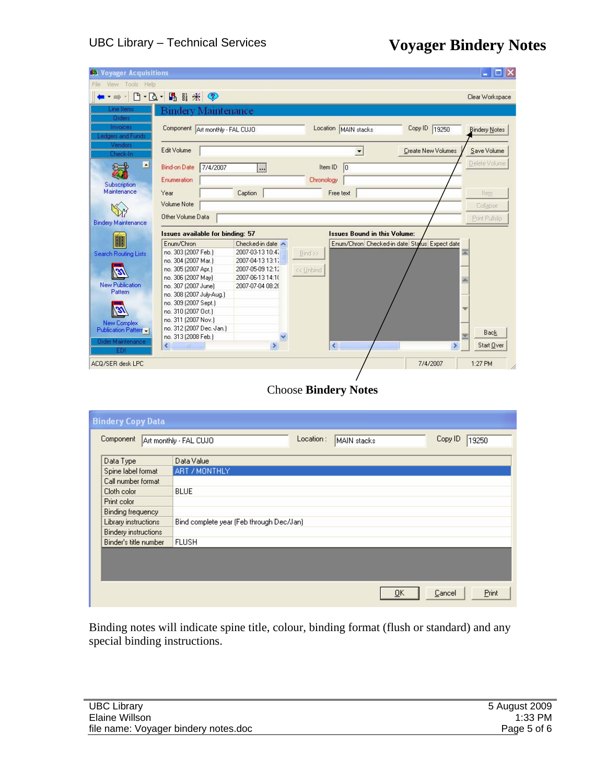| 611 Voyager Acquisitions                             |                                                                            |                                             |                                     | $  \centerdot$ $  \centerdot  $ $\centerdot  $ |
|------------------------------------------------------|----------------------------------------------------------------------------|---------------------------------------------|-------------------------------------|------------------------------------------------|
| Help<br>File<br>View<br>Tools                        |                                                                            |                                             |                                     |                                                |
| $\overline{\phantom{a}}$<br>$\overline{\phantom{a}}$ | $\mathbf{B} \cdot \mathbf{A} \cdot \mathbf{B} \nexists \mathcal{H} \nabla$ |                                             |                                     | Clear Workspace                                |
| Line Items                                           | Bindery Maintenance                                                        |                                             |                                     |                                                |
| Orders                                               |                                                                            |                                             |                                     |                                                |
| Invoices                                             | Component Art monthly - FAL CUJO                                           |                                             | Location MAIN stacks                | Copy ID 19250<br><b>Bindery Notes</b>          |
| Ledgers and Funds                                    |                                                                            |                                             |                                     |                                                |
| Vendors                                              | Edit Volume                                                                |                                             | ▼                                   | Create New Volumes<br>Save Volume              |
| Check-In                                             |                                                                            |                                             |                                     |                                                |
| $\blacktriangleleft$                                 | <b>Bind-on Date</b><br>7/4/2007                                            | $\overline{\phantom{a}}$                    | Item ID<br> 0                       | Delete Volume                                  |
|                                                      | Enumeration                                                                |                                             | Chronology                          |                                                |
| Subscription<br>Maintenance                          | Year                                                                       | Caption                                     | Free text                           |                                                |
|                                                      |                                                                            |                                             |                                     | Item                                           |
|                                                      | Volume Note                                                                |                                             |                                     | Collapse                                       |
| <b>Bindery Maintenance</b>                           | Other Volume Data                                                          |                                             |                                     | Print Pullslip                                 |
|                                                      |                                                                            |                                             | <b>Issues Bound in this Volume:</b> |                                                |
|                                                      | <b>Issues available for binding: 57</b><br>Enum/Chron                      |                                             |                                     | Enum/Chron Checked-in date Status Expect date  |
| Search Routing Lists                                 | no. 303 (2007 Feb.)                                                        | Checked-in date $\land$<br>2007-03-13 10:47 | Bind >>                             | 巫                                              |
|                                                      | no. 304 (2007 Mar.)                                                        | 2007-04-13 13:17                            |                                     |                                                |
|                                                      | no. 305 (2007 Apr.)                                                        | 2007-05-09 12:12                            | << Unbind                           |                                                |
|                                                      | no. 306 (2007 May)                                                         | 2007-06-13 14:10                            |                                     |                                                |
| <b>New Publication</b>                               | no. 307 (2007 June)                                                        | 2007-07-04 08:20                            |                                     |                                                |
| Pattern                                              | no. 308 (2007 July-Aug.)                                                   |                                             |                                     |                                                |
|                                                      | no. 309 (2007 Sept.)                                                       |                                             |                                     |                                                |
|                                                      | no. 310 (2007 Oct.)                                                        |                                             |                                     |                                                |
|                                                      | no. 311 (2007 Nov.)                                                        |                                             |                                     |                                                |
| New Complex<br>Publication Patterr -                 | no. 312 (2007 Dec. Jan.)                                                   |                                             |                                     |                                                |
|                                                      | no. 313 (2008 Feb.)                                                        |                                             |                                     | <b>Back</b>                                    |
| <b>Order Maintenance</b>                             | ∢                                                                          | $\,$                                        | $\left\langle \right\rangle$        | Start Over<br>$\,$                             |
| EDI                                                  |                                                                            |                                             |                                     |                                                |
| ACQ/SER desk LPC                                     |                                                                            |                                             |                                     | 1:27 PM<br>7/4/2007                            |
|                                                      |                                                                            |                                             |                                     |                                                |
|                                                      |                                                                            |                                             |                                     |                                                |
|                                                      |                                                                            |                                             | <b>Choose Bindery Notes</b>         |                                                |
|                                                      |                                                                            |                                             |                                     |                                                |
|                                                      |                                                                            |                                             |                                     |                                                |
| <b>Bindery Copy Data</b>                             |                                                                            |                                             |                                     |                                                |
|                                                      |                                                                            |                                             | Location:                           |                                                |
| Component                                            | Art monthly - FAL CUJO                                                     |                                             | MAIN stacks                         | Copy ID<br>19250                               |

| <b>Component</b>            | Art monthly - FAL CUJO                   | Location : | IMAIN stacks | Copy ID.<br>19250 |
|-----------------------------|------------------------------------------|------------|--------------|-------------------|
| Data Type                   | Data Value                               |            |              |                   |
| Spine label format          | ART / MONTHLY                            |            |              |                   |
| Call number format          |                                          |            |              |                   |
| Cloth color                 | <b>BLUE</b>                              |            |              |                   |
| Print color                 |                                          |            |              |                   |
| Binding frequency           |                                          |            |              |                   |
| Library instructions        | Bind complete year (Feb through Dec/Jan) |            |              |                   |
| <b>Bindery instructions</b> |                                          |            |              |                   |
| Binder's title number       | <b>FLUSH</b>                             |            |              |                   |
|                             |                                          |            |              |                   |
|                             |                                          |            |              |                   |
|                             |                                          |            |              |                   |
|                             |                                          |            | ŌΚ           | Print<br>Cancel   |

Binding notes will indicate spine title, colour, binding format (flush or standard) and any special binding instructions.

| <b>JBC Library</b>                   | 5 August 2009 |
|--------------------------------------|---------------|
| Elaine Willson                       | $1:33$ PM     |
| file name: Voyager bindery notes.doc | Page 5 of 6   |